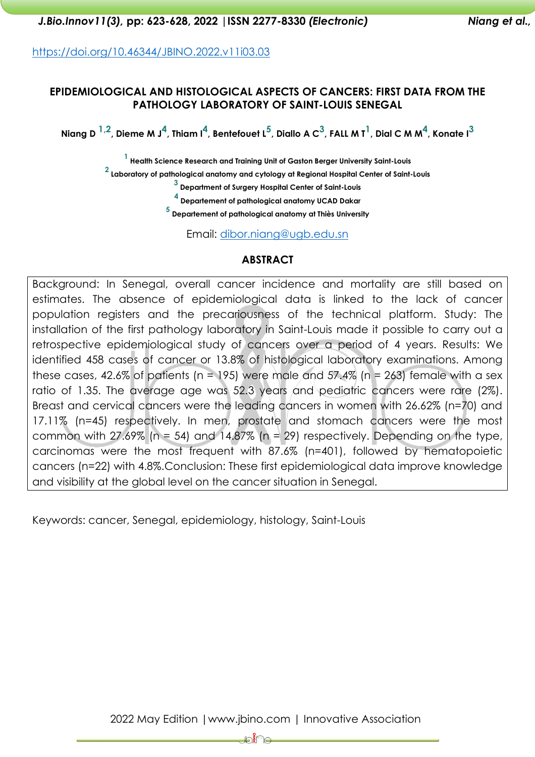*J.Bio.Innov11(3),* **pp: 623-628, 2022 |ISSN 2277-8330** *(Electronic) Niang et al.,*

<https://doi.org/10.46344/JBINO.2022.v11i03.03>

#### **EPIDEMIOLOGICAL AND HISTOLOGICAL ASPECTS OF CANCERS: FIRST DATA FROM THE PATHOLOGY LABORATORY OF SAINT-LOUIS SENEGAL**

<code>Niang D  $^{1,2}$ , Dieme M J $^4$ , Thiam I $^4$ , Bentefouet L $^5$ , Diallo A C $^3$ , FALL M T $^1$ , Dial C M M $^4$ , Konate I $^3$ </code>

**1 Health Science Research and Training Unit of Gaston Berger University Saint-Louis**

**2 Laboratory of pathological anatomy and cytology at Regional Hospital Center of Saint-Louis**

**3 Department of Surgery Hospital Center of Saint-Louis**

**4 Departement of pathological anatomy UCAD Dakar**

**5 Departement of pathological anatomy at Thiès University**

Email: [dibor.niang@ugb.edu.sn](mailto:dibor.niang@ugb.edu.sn)

### **ABSTRACT**

Background: In Senegal, overall cancer incidence and mortality are still based on estimates. The absence of epidemiological data is linked to the lack of cancer population registers and the precariousness of the technical platform. Study: The installation of the first pathology laboratory in Saint-Louis made it possible to carry out a retrospective epidemiological study of cancers over a period of 4 years. Results: We identified 458 cases of cancer or 13.8% of histological laboratory examinations. Among these cases, 42.6% of patients (n = 195) were male and 57.4% (n = 263) female with a sex ratio of 1.35. The average age was 52.3 years and pediatric cancers were rare (2%). Breast and cervical cancers were the leading cancers in women with 26.62% (n=70) and 17.11% (n=45) respectively. In men, prostate and stomach cancers were the most common with  $27.69\%$  (n = 54) and 14.87% (n = 29) respectively. Depending on the type, carcinomas were the most frequent with 87.6% (n=401), followed by hematopoietic cancers (n=22) with 4.8%.Conclusion: These first epidemiological data improve knowledge and visibility at the global level on the cancer situation in Senegal.

Keywords: cancer, Senegal, epidemiology, histology, Saint-Louis

₽₩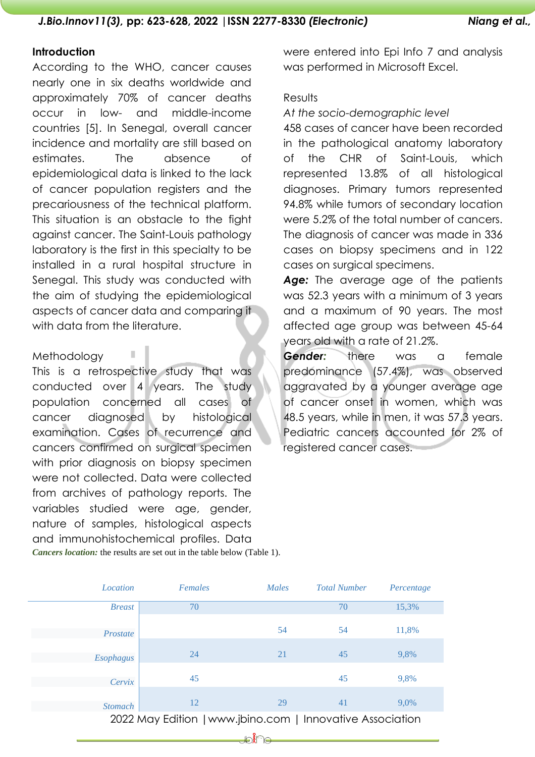### **Introduction**

According to the WHO, cancer causes nearly one in six deaths worldwide and approximately 70% of cancer deaths occur in low- and middle-income countries [5]. In Senegal, overall cancer incidence and mortality are still based on estimates. The absence of epidemiological data is linked to the lack of cancer population registers and the precariousness of the technical platform. This situation is an obstacle to the fight against cancer. The Saint-Louis pathology laboratory is the first in this specialty to be installed in a rural hospital structure in Senegal. This study was conducted with the aim of studying the epidemiological aspects of cancer data and comparing it with data from the literature.

#### Methodology

This is a retrospective study that was conducted over 4 years. The study population concerned all cases of cancer diagnosed by histological examination. Cases of recurrence and cancers confirmed on surgical specimen with prior diagnosis on biopsy specimen were not collected. Data were collected from archives of pathology reports. The variables studied were age, gender, nature of samples, histological aspects and immunohistochemical profiles. Data *Cancers location:* the results are set out in the table below (Table 1).

ı

were entered into Epi Info 7 and analysis was performed in Microsoft Excel.

## **Results**

#### *At the socio-demographic level*

458 cases of cancer have been recorded in the pathological anatomy laboratory of the CHR of Saint-Louis, which represented 13.8% of all histological diagnoses. Primary tumors represented 94.8% while tumors of secondary location were 5.2% of the total number of cancers. The diagnosis of cancer was made in 336 cases on biopsy specimens and in 122 cases on surgical specimens.

*Age:* The average age of the patients was 52.3 years with a minimum of 3 years and a maximum of 90 years. The most affected age group was between 45-64 years old with a rate of 21.2%.

*Gender:* there was a female predominance (57.4%), was observed aggravated by a younger average age of cancer onset in women, which was 48.5 years, while in men, it was 57.3 years. Pediatric cancers accounted for 2% of registered cancer cases.

| Location         | Females                                                   | Males | <b>Total Number</b> | Percentage |
|------------------|-----------------------------------------------------------|-------|---------------------|------------|
| <b>Breast</b>    | 70                                                        |       | 70                  | 15,3%      |
| Prostate         |                                                           | 54    | 54                  | 11,8%      |
| <b>Esophagus</b> | 24                                                        | 21    | 45                  | 9,8%       |
| Cervix           | 45                                                        |       | 45                  | 9,8%       |
| <b>Stomach</b>   | 12                                                        | 29    | 41                  | 9,0%       |
|                  | 2022 May Edition   www.jbino.com   Innovative Association |       |                     |            |

D 10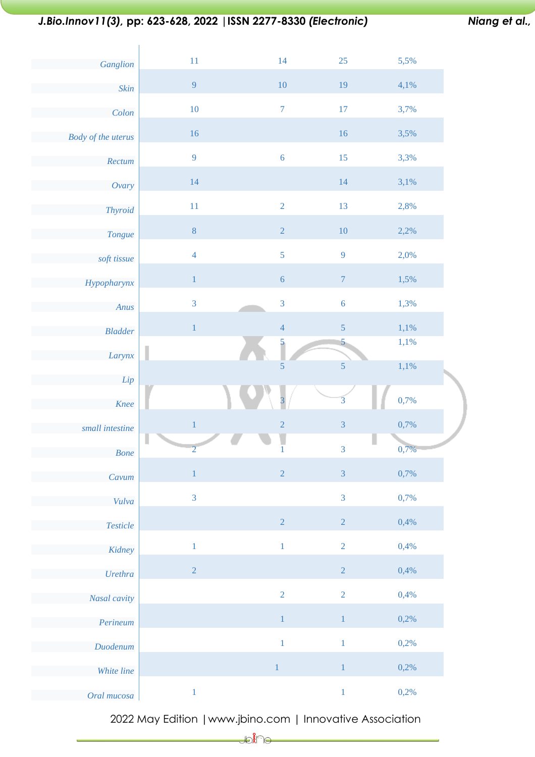# *J.Bio.Innov11(3),* **pp: 623-628, 2022 |ISSN 2277-8330** *(Electronic) Niang et al.,*

| Ganglion                    | 11                  | 14               | 25                       | 5,5% |  |
|-----------------------------|---------------------|------------------|--------------------------|------|--|
| Skin                        | $\overline{9}$      | 10               | 19                       | 4,1% |  |
| Colon                       | 10                  | $\boldsymbol{7}$ | $17\,$                   | 3,7% |  |
| <b>Body of the uterus</b>   | 16                  |                  | 16                       | 3,5% |  |
| Rectum                      | 9                   | $\overline{6}$   | 15                       | 3,3% |  |
| Ovary                       | 14                  |                  | 14                       | 3,1% |  |
| Thyroid                     | 11                  | $\sqrt{2}$       | 13                       | 2,8% |  |
| Tongue                      | $\bf 8$             | $\sqrt{2}$       | $10\,$                   | 2,2% |  |
| soft tissue                 | $\overline{4}$      | 5                | 9                        | 2,0% |  |
| Hypopharynx                 | $\,1$               | $\sqrt{6}$       | $\boldsymbol{7}$         | 1,5% |  |
| Anus                        | $\mathfrak{Z}$      | $\mathbf{3}$     | $\overline{6}$           | 1,3% |  |
| <b>Bladder</b>              | $\,1\,$             | $\overline{4}$   | 5                        | 1,1% |  |
| Larynx                      |                     | $\frac{5}{2}$    | $\overline{\phantom{a}}$ | 1,1% |  |
|                             |                     | 5                | $\overline{5}$           | 1,1% |  |
| Lip                         |                     |                  |                          |      |  |
| Knee                        |                     | $\overline{3}$   | $\overline{3}$           | 0,7% |  |
| small intestine             | $\,1\,$             | $\sqrt{2}$       | $\overline{3}$           | 0,7% |  |
| <b>Bone</b>                 | U<br>$\overline{2}$ | $\frac{1}{1}$    | 3                        | 0,7% |  |
| Cavum                       | $\,1$               | $\overline{2}$   | $\mathfrak{Z}$           | 0,7% |  |
| Vulva                       | $\overline{3}$      |                  | $\overline{3}$           | 0,7% |  |
| $\label{def:resc} Testicle$ |                     | $\sqrt{2}$       | $\overline{2}$           | 0,4% |  |
| Kidney                      | $\,1\,$             | $\,1\,$          | $\overline{2}$           | 0,4% |  |
| Urethra                     | $\sqrt{2}$          |                  | $\sqrt{2}$               | 0,4% |  |
| Nasal cavity                |                     | $\overline{2}$   | $\sqrt{2}$               | 0,4% |  |
| Perineum                    |                     | $\,1\,$          | $\,1\,$                  | 0,2% |  |
| Duodenum                    |                     | $\,1\,$          | $\,1\,$                  | 0,2% |  |
| White line                  |                     | $\,1$            | $\,1\,$                  | 0,2% |  |

2022 May Edition |www.jbino.com | Innovative Association

 $\bigcup_{i=1}^{\infty}$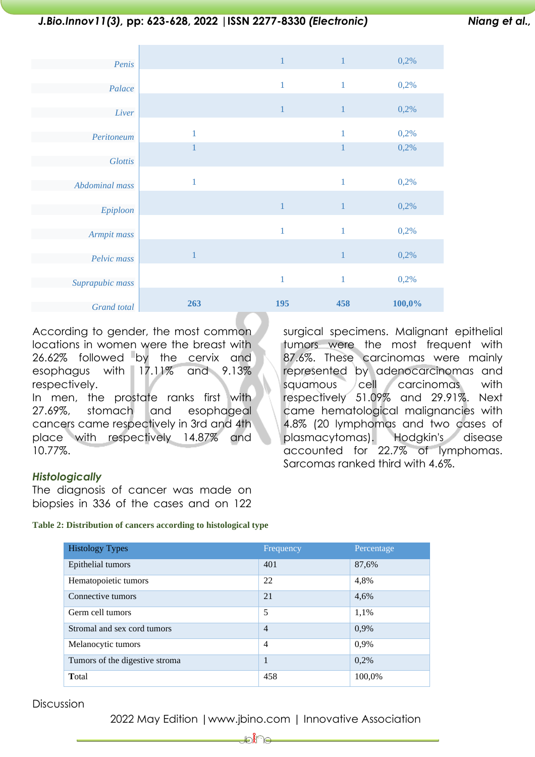## *J.Bio.Innov11(3),* **pp: 623-628, 2022 |ISSN 2277-8330** *(Electronic) Niang et al.,*

surgical specimens. Malignant epithelial tumors were the most frequent with 87.6%. These carcinomas were mainly represented by adenocarcinomas and squamous cell carcinomas with respectively 51.09% and 29.91%. Next came hematological malignancies with 4.8% (20 lymphomas and two cases of plasmacytomas). Hodgkin's disease accounted for 22.7% of lymphomas.

Sarcomas ranked third with 4.6%.

| Penis           |              | $\mathbf{1}$ | $\mathbf{1}$ | 0,2%   |
|-----------------|--------------|--------------|--------------|--------|
| Palace          |              | 1            | $\mathbf{1}$ | 0,2%   |
| Liver           |              | $\mathbf{1}$ | $\mathbf{1}$ | 0,2%   |
| Peritoneum      | $\mathbf{1}$ |              | $\mathbf{1}$ | 0,2%   |
| <b>Glottis</b>  | 1            |              | $\mathbf{1}$ | 0,2%   |
| Abdominal mass  | $\mathbf{1}$ |              | $\mathbf{1}$ | 0,2%   |
| Epiploon        |              | $\mathbf{1}$ | $\,1\,$      | 0,2%   |
| Armpit mass     |              | 1            | $\mathbf{1}$ | 0,2%   |
| Pelvic mass     | $\mathbf{1}$ |              | $\,1\,$      | 0,2%   |
| Suprapubic mass |              | 1            | $\mathbf{1}$ | 0,2%   |
| Grand total     | 263          | 195          | 458          | 100,0% |

According to gender, the most common locations in women were the breast with 26.62% followed by the cervix and esophagus with 17.11% and 9.13% respectively.

In men, the prostate ranks first with 27.69%, stomach and esophageal cancers came respectively in 3rd and 4th place with respectively 14.87% and 10.77%.

*Histologically*

The diagnosis of cancer was made on biopsies in 336 of the cases and on 122

**Table 2: Distribution of cancers according to histological type**

| <b>Histology Types</b>         | Frequency      | Percentage |
|--------------------------------|----------------|------------|
| Epithelial tumors              | 401            | 87,6%      |
| Hematopoietic tumors           | 22             | 4,8%       |
| Connective tumors              | 21             | 4,6%       |
| Germ cell tumors               | 5              | 1,1%       |
| Stromal and sex cord tumors    | $\overline{4}$ | 0,9%       |
| Melanocytic tumors             | 4              | 0,9%       |
| Tumors of the digestive stroma | 1              | 0,2%       |
| Total                          | 458            | 100,0%     |

**Discussion** 

2022 May Edition |www.jbino.com | Innovative Association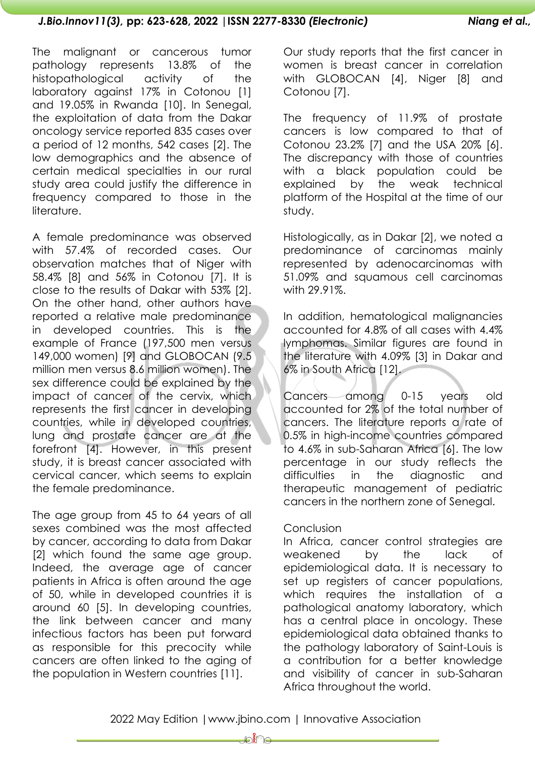The malignant or cancerous tumor pathology represents 13.8% of the histopathological activity of the laboratory against 17% in Cotonou [1] and 19.05% in Rwanda [10]. In Senegal, the exploitation of data from the Dakar oncology service reported 835 cases over a period of 12 months, 542 cases [2]. The low demographics and the absence of certain medical specialties in our rural study area could justify the difference in frequency compared to those in the literature.

A female predominance was observed with 57.4% of recorded cases. Our observation matches that of Niger with 58.4% [8] and 56% in Cotonou [7]. It is close to the results of Dakar with 53% [2]. On the other hand, other authors have reported a relative male predominance in developed countries. This is the example of France (197,500 men versus 149,000 women) [9] and GLOBOCAN (9.5 million men versus 8.6 million women). The sex difference could be explained by the impact of cancer of the cervix, which represents the first cancer in developing countries, while in developed countries, lung and prostate cancer are at the forefront [4]. However, in this present study, it is breast cancer associated with cervical cancer, which seems to explain the female predominance.

The age group from 45 to 64 years of all sexes combined was the most affected by cancer, according to data from Dakar [2] which found the same age group. Indeed, the average age of cancer patients in Africa is often around the age of 50, while in developed countries it is around 60 [5]. In developing countries, the link between cancer and many infectious factors has been put forward as responsible for this precocity while cancers are often linked to the aging of the population in Western countries [11].

Our study reports that the first cancer in women is breast cancer in correlation with GLOBOCAN [4], Niger [8] and Cotonou [7].

The frequency of 11.9% of prostate cancers is low compared to that of Cotonou 23.2% [7] and the USA 20% [6]. The discrepancy with those of countries with a black population could be explained by the weak technical platform of the Hospital at the time of our study.

Histologically, as in Dakar [2], we noted a predominance of carcinomas mainly represented by adenocarcinomas with 51.09% and squamous cell carcinomas with 29.91%.

In addition, hematological malignancies accounted for 4.8% of all cases with 4.4% lymphomas. Similar figures are found in the literature with 4.09% [3] in Dakar and 6% in South Africa [12].

Cancers among 0-15 years old accounted for 2% of the total number of cancers. The literature reports a rate of 0.5% in high-income countries compared to 4.6% in sub-Saharan Africa [6]. The low percentage in our study reflects the difficulties in the diagnostic and therapeutic management of pediatric cancers in the northern zone of Senegal.

### Conclusion

In Africa, cancer control strategies are weakened by the lack of epidemiological data. It is necessary to set up registers of cancer populations, which requires the installation of a pathological anatomy laboratory, which has a central place in oncology. These epidemiological data obtained thanks to the pathology laboratory of Saint-Louis is a contribution for a better knowledge and visibility of cancer in sub-Saharan Africa throughout the world.

<del>J</del>onic